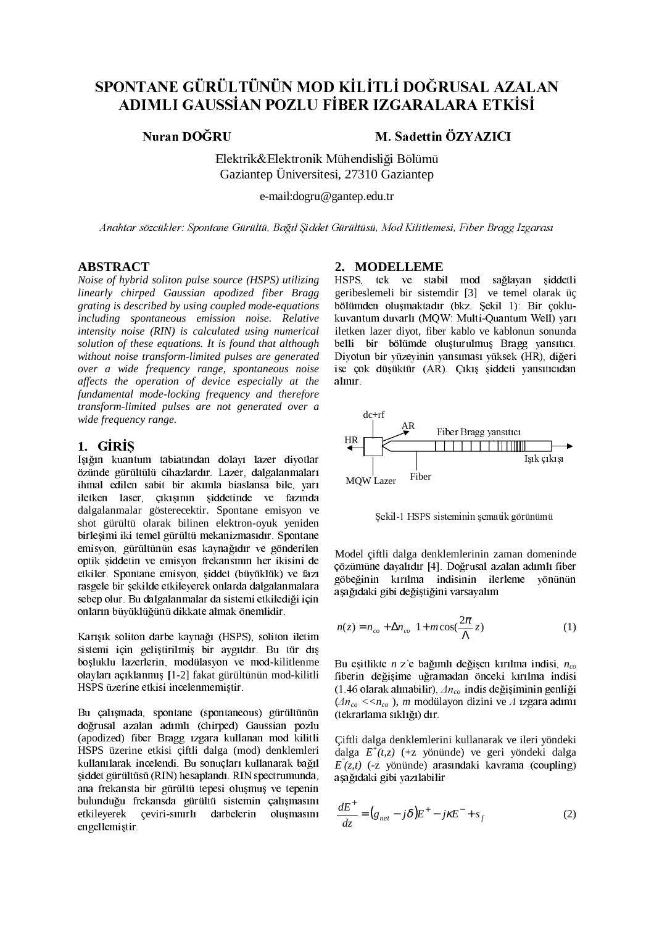# SPONTANE GÜRÜLTÜNÜN MOD KİLİTLİ DOĞRUSAL AZALAN ADIMLI GAUSSIAN POZLU FİBER IZGARALARA ETKİSİ

## Nuran DOĞRU

# M. Sadettin ÖZYAZICI

Elektrik&Elektronik Mühendisliği Bölümü Gaziantep Üniversitesi, 27310 Gaziantep

e-mail:dogru@gantep.edu.tr

Anahtar sözcükler: Spontane Gürültü, Bağıl Siddet Gürültüsü, Mod Kilitlemesi, Fiber Bragg Izgarası

### **ABSTRACT**

Noise of hybrid soliton pulse source (HSPS) utilizing linearly chirped Gaussian apodized fiber Bragg grating is described by using coupled mode-equations including spontaneous emission noise. Relative intensity noise (RIN) is calculated using numerical solution of these equations. It is found that although without noise transform-limited pulses are generated over a wide frequency range, spontaneous noise affects the operation of device especially at the fundamental mode-locking frequency and therefore transform-limited pulses are not generated over a wide frequency range.

## 1. GIRIS

Isiğin kuantum tabiatından dolayı lazer diyotlar özünde gürültülü cihazlardır. Lazer, dalgalanmaları ihmal edilen sabit bir akımla biaslansa bile, yarı iletken laser, çıkısının siddetinde ve fazında dalgalanmalar gösterecektir. Spontane emisyon ve shot gürültü olarak bilinen elektron-oyuk yeniden birleşimi iki temel gürültü mekanizmasıdır. Spontane emisyon, gürültünün esas kaynağıdır ve gönderilen optik siddetin ve emisyon frekansının her ikisini de etkiler. Spontane emisyon, siddet (büyüklük) ve fazı rasgele bir sekilde etkileverek onlarda dalgalanmalara sebep olur. Bu dalgalanmalar da sistemi etkilediği için onların büyüklüğünü dikkate almak önemlidir.

Karışık soliton darbe kaynağı (HSPS), soliton iletim sistemi için geliştirilmiş bir aygıtdır. Bu tür dış boşluklu lazerlerin, modülasyon ve mod-kilitlenme olayları açıklanmış [1-2] fakat gürültünün mod-kilitli HSPS üzerine etkisi incelenmemiştir.

Bu calismada, spontane (spontaneous) gürültünün doğrusal azalan adımlı (chirped) Gaussian pozlu (apodized) fiber Bragg izgara kullanan mod kilitli HSPS üzerine etkisi çiftli dalga (mod) denklemleri kullanılarak incelendi. Bu sonuçları kullanarak bağıl şiddet gürültüsü (RIN) hesaplandı. RIN spectrumunda, ana frekansta bir gürültü tepesi olusmus ve tepenin bulunduğu frekansda gürültü sistemin çalışmasını etkileyerek çeviri-sınırlı darbelerin oluşmasını engellemistir.

#### 2. MODELLEME

HSPS. tek ve stabil mod sağlayan şiddetli geribeslemeli bir sistemdir [3] ve temel olarak üç bölümden oluşmaktadır (bkz. Sekil 1): Bir çoklukuvantum duvarlı (MQW: Multi-Quantum Well) yarı iletken lazer diyot, fiber kablo ve kablonun sonunda belli bir bölümde olusturulmus Bragg vansıtıcı. Diyotun bir yüzeyinin yansıması yüksek (HR), diğeri ise çok düşüktür (AR). Çıkış şiddeti yansıtıcıdan alınır.



Şekil-1 HSPS sisteminin şematik görünümü

Model çiftli dalga denklemlerinin zaman domeninde çözümüne dayalıdır [4]. Doğrusal azalan adımlı fiber göbeğinin kırılma indisinin ilerleme vönünün aşağıdaki gibi değiştiğini varsayalım

$$
n(z) = n_{co} + \Delta n_{co} \left[ 1 + m \cos(\frac{2\pi}{\Lambda} z) \right]
$$
 (1)

Bu eşitlikte *n* z'e bağımlı değişen kırılma indisi,  $n_{co}$ fiberin değişime uğramadan önceki kırılma indisi (1.46 olarak alınabilir),  $\Delta n_{co}$  indis değişiminin genliği  $\langle \Delta n_{co} \langle n_{co} \rangle$ , *m* modülayon dizini ve  $\Lambda$  1zgara adımı (tekrarlama sıklığı) dır.

Çiftli dalga denklemlerini kullanarak ve ileri yöndeki dalga  $E^+(t,z)$  (+z yönünde) ve geri yöndeki dalga  $E(z,t)$  (-z vönünde) arasındaki kavrama (coupling) asağıdaki gibi yazılabilir

$$
\frac{dE^+}{dz} = (g_{net} - j\delta)E^+ - j\kappa E^- + s_f \tag{2}
$$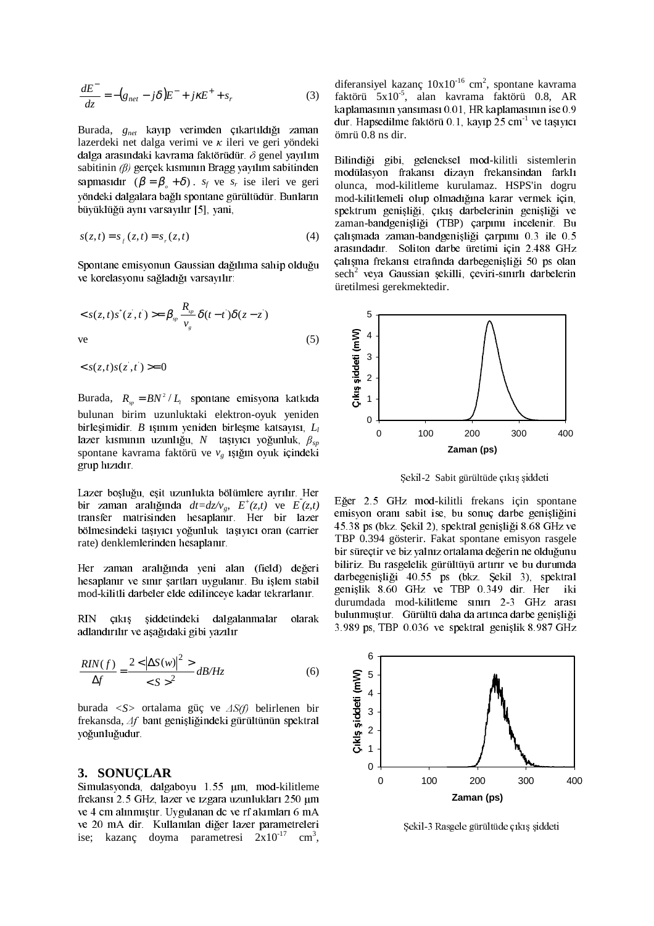$$
\frac{dE^-}{dz} = -\left(g_{net} - j\delta\right)E^- + j\kappa E^+ + s_r \tag{3}
$$

Burada, g<sub>net</sub> kayıp verimden çıkartıldığı zaman lazerdeki net dalga verimi ve  $\kappa$  ileri ve geri yöndeki dalga arasındaki kavrama faktörüdür.  $\delta$  genel yayılım sabitinin  $(\beta)$  gerçek kısmının Bragg yayılım sabitinden sapmasıdır  $(\beta = \beta_s + \delta)$ .  $s_f$  ve  $s_r$  ise ileri ve geri yöndeki dalgalara bağlı spontane gürültüdür. Bunların büyüklüğü aynı varsayılır [5], yani,

$$
s(z, t) = sf(z, t) = sr(z, t)
$$
 (4)

Spontane emisyonun Gaussian dağılıma sahip olduğu ve korelasvonu sağladığı varsayılır:

$$
\langle s(z,t)s^*(z,t) \rangle = \beta_{sp} \frac{R_{sp}}{v_g} \delta(t-t) \delta(z-z)
$$
  
ve (5)

 $\langle s(z,t)s(z',t') \rangle = 0$ 

Burada,  $R_{sp} = BN^2 / L_1$  spontane emisyona katkıda bulunan birim uzunluktaki elektron-oyuk yeniden birleşimidir. B ışınım yeniden birleşme katsayısı,  $L_l$ lazer kısmının uzunlığu, N taşıyıcı yoğunluk,  $\beta_{sn}$ spontane kavrama faktörü ve  $v_e$  ışığın oyuk içindeki grup hizidir.

Lazer boşluğu, eşit uzunlukta bölümlere ayrılır. Her bir zaman aralığında  $dt = dz/v_o$ ,  $E^+(z,t)$  ve  $E(z,t)$ transfer matrisinden hesaplanır. Her bir lazer bölmesindeki taşıyıcı yoğunluk taşıyıcı oran (carrier rate) denklemlerinden hesaplanır.

Her zaman aralığında yeni alan (field) değeri hesaplanır ve sınır şartları uygulanır. Bu işlem stabil mod-kilitli darbeler elde edilinceye kadar tekrarlanır.

**RIN** siddetindeki dalgalanmalar  $cikis$ olarak adlandırılır ve aşağıdaki gibi yazılır

$$
\frac{RIN(f)}{\Delta f} = \frac{2 < \left| \Delta S(w) \right|^2 >}{\left| \langle S \rangle \right|^2} \frac{dB}{Hz} \tag{6}
$$

burada <S> ortalama güç ve  $\Delta S(f)$  belirlenen bir frekansda, Af bant genişliğindeki gürültünün spektral yoğunluğudur.

#### 3. SONUCLAR

Simulasyonda, dalgaboyu 1.55 µm, mod-kilitleme frekansı 2.5 GHz, lazer ve izgara uzunlukları 250 µm ve 4 cm alınmıştır. Uygulanan de ve rf akımları 6 mA ve 20 mA dir. Kullanılan diğer lazer parametreleri ise; kazanc doyma parametresi  $2x10^{-17}$  cm<sup>3</sup>, diferansiyel kazanç $10x10^{-16}$  cm<sup>2</sup>, spontane kavrama faktörü 5x10<sup>-5</sup>, alan kavrama faktörü 0.8, AR kaplamasının yansıması 0.01, HR kaplamasının ise 0.9 dur. Hapsedilme faktörü 0.1, kayıp 25 cm<sup>-1</sup> ve taşıyıcı ömrü 0.8 ns dir.

Bilindiği gibi, geleneksel mod-kilitli sistemlerin modülasyon frakansı dizayn frekansindan farklı olunca, mod-kilitleme kurulamaz. HSPS'in dogru mod-kilitlemeli olup olmadığına karar vermek için, spektrum genişliği, çıkış darbelerinin genişliği ve zaman-bandgenişliği (TBP) çarpımı incelenir. Bu çalışmada zaman-bandgenişliği çarpımı 0.3 ile 0.5 arasındadır. Soliton darbe üretimi için 2.488 GHz çalışma frekansı etrafında darbegenişliği 50 ps olan sech<sup>2</sup> veya Gaussian şekilli, çeviri-sınırlı darbelerin üretilmesi gerekmektedir.



Sekil-2 Sabit gürültüde cıkıs siddeti

Eğer 2.5 GHz mod-kilitli frekans için spontane emisyon oranı sabit ise, bu sonuç darbe genişliğini 45.38 ps (bkz. Sekil 2), spektral genisliği 8.68 GHz ve TBP 0.394 gösterir. Fakat spontane emisyon rasgele bir süreçtir ve biz yalnız ortalama değerin ne olduğunu biliriz. Bu rasgelelik gürültüyü artırır ye bu durumda darbegenişliği 40.55 ps (bkz. Şekil 3), spektral genişlik 8.60 GHz ve TBP 0.349 dir. Her -iki durumdada mod-kilitleme sınırı 2-3 GHz arası bulunmuştur. Gürültü daha da artınca darbe genişliği 3.989 ps, TBP 0.036 ve spektral genişlik 8.987 GHz



Şekil-3 Rasgele gürültüde çıkış şiddeti